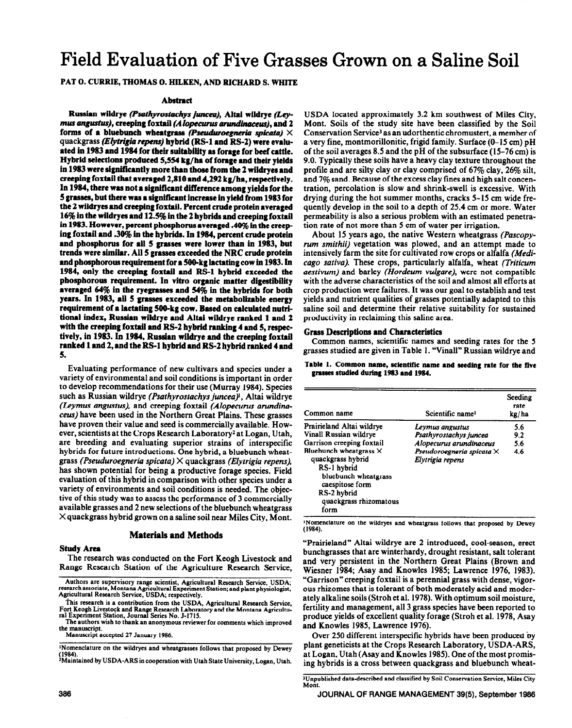# **Field Evaluation of Five Grasses Grown on a Saline Soil**

## PAT 0. CURRIE, THOMAS 0. HILKEN, AND RICHARD S. WHITE

#### **Abstract**

**Russian wildrye (Psathyrostachys juncea), Altai wildrye (Lev***mus angustus)*, creeping foxtail (Alopecurus arundinaceus), and 2 forms of a bluebunch wheatgrass *(Pseuduroegneria spicata)*  $\times$ quackgrass (*Elytrigia repens*) hybrid (RS-1 and RS-2) were evalu**ated in 1983 and 1984 for their suitability as forage for beef cattle. Hybrid selections produced 5,554 kg/ha of forage and their yields**  in 1983 were significantly more than those from the 2 wildryes and **creeping foortaii that** *averaged* **2,810 and 4,292 kg/ha, respectively. In 1984, there was not a** significant **difference among yields for the 5 grasses, but there was a significant increase in yield from 1983 for the 2 wildryes and creeping foxtail. Percent crude protein averaged 16% in the wfidryes and 12.5% in the 2 hybrids and creeping foxtaii in 1983. However, percent phosphorus averaged 40% in the creep ing foxtail and .30% in tbe hybrids. In 1984, percent crude protein and phosphorus for all 5 grasses were lower than in 1983, but**  trends were similar. All 5 grasses exceeded the NRC crude protein **and phosphorous rquirement for a 500-kg iactating cow in 1983. In 1984, only the creeping foxtaii and RS-1 hybrid exceeded the phosphorous requirement. In vitro organic matter digestibiiity averaged 64% in tbe ryegrasses and 54% in the hybrids for both years. In 1983, ail 5 grasses exceeded the metaboiixabie energy requirement of a iactating SOO-kg cow.** Based **on caicuiated nutritional index, Russian wildrye and Aitai wiidrye ranked 1 and 2**  with the creeping foxtail and RS-2 hybrid ranking 4 and 5, respec**tively, in 1983. In 1984, Russian wiidrye and the creeping foxtail ranked 1 and 2, and the RS-1 hybrid and RS-2 hybrid ranked 4 and 5.** 

Evaluating performance of new cultivars and species under a variety of environmental and soil conditions is important in order to develop recommendations for their use (Murray 1984). Species such as Russian wildrye (Psathyrostachys juncea)<sup>1</sup>, Altai wildrye (Leymus *angustus),* and creeping foxtail *(Alopecurus arundinacew)* have been used in the Northern Great Plains. These grasses have proven their value and seed is commercially available. However, scientists at the Crops Research Laboratory<sup>2</sup> at Logan, Utah, are breeding and evaluating superior strains of interspecific hybrids for future introductions. One hybrid, a bluebunch wheatgrass *(Pseuduroegneria spicata) X* quackgrass *(Elytrigia repens),*  has shown potential for being a productive forage species. Field evaluation of this hybrid in comparison with other species under a variety of environments and soil conditions is needed. The objective of this study was to assess the performance of 3 commercially available grasses and 2 new selections of the bluebunch wheatgrass  $\times$  quackgrass hybrid grown on a saline soil near Miles City, Mont.

### **Materials and Methods**

#### **Study Area**

The research was conducted on the Fort Keogh Livestock and Range Research Station of the Agriculture Research Service,

**Manuscript accepted 27 January 1986.** 

<sup>1</sup>Nomenclature on the wildryes and wheatgrasses follows that proposed by Dewey (1984)

**fl954). iM&ained by USDA-ARS in cooperation with Utah State University, Logan, Utah.** 

USDA located approximately 3.2 km southwest of Miles City, Mont. Soils of the study site have been classified by the Soil Conservation Service3 as an udorthentic chromustert, a member of a very fine, montmorillonitic, frigid family. Surface (O-15 cm) pH of the soil averages 8.5 and the pH of the subsurface (15-76 cm) is 9.0. Typically these soils have a heavy clay texture throughout the profile and are silty clay or clay comprised of 67% clay, 26% silt, and 7% sand. Because of the excess clay fines and high salt concentration, percolation is slow and shrink-swell is excessive. With drying during the hot summer months, cracks 5-15 cm wide frequently develop in the soil to a depth of 25.4 cm or more. Water permeability is also a serious problem with an estimated penetration rate of not more than 5 cm of water per irrigation.

About 15 years ago, the native Western wheatgrass *(Pascopyrum smithii)* vegetation was plowed, and an attempt made to intensively farm the site for cultivated row crops or alfalfa *(Medicage sativa).* These crops, particularly alfalfa, wheat *(Triticum aestivum)* and barley *(Hordeum vulgare),* were not compatible with the adverse characteristics of the soil and almost all efforts at crop production were failures. It was our goal to establish and test yields and nutrient qualities of grasses potentially adapted to this saline soil and determine their relative suitability for sustained productivity in reclaiming this saline area.

#### Grass **Descriptions and Characteristics**

Common names, scientific names and seeding rates for the 5 grasses studied are given in Table 1. "Vinall" Russian wildrye and

Table 1. Common name, scientific name and seeding rate for the five grasses studied during 1983 and 1984.

| Common name                                                                                                                                                   | Scientific name <sup>1</sup>                         | Seeding<br>rate<br>kg/ha |
|---------------------------------------------------------------------------------------------------------------------------------------------------------------|------------------------------------------------------|--------------------------|
| Prairieland Altai wildrye<br>Vinall Russian wildrve                                                                                                           | Leymus angustus<br>Psathyrostachys juncea            | 5.6<br>9.2               |
| Garrison creeping foxtail                                                                                                                                     | Alopecurus arundinaceus                              | 5.6                      |
| Bluebunch wheatgrass $\times$<br>quackgrass hybrid<br>RS-1 hybrid<br>bluebunch wheatgrass<br>caespitose form<br>RS-2 hybrid<br>quackgrass rhizomatous<br>form | Pseudoroegneria spicata $\times$<br>Elytrigia repens | 4.6                      |

lNomenclature on **the wildryes and wheatgrass follows that proposed by Dewey (1984).** 

"Prairieland" Altai wildrye are 2 introduced, cool-season, erect bunchgrasses that are winterhardy, drought resistant, salt tolerant and very persistent in the Northern Great Plains (Brown and Wiesner 1984; Asay and Knowles 1985; Lawrence 1976, 1983). "Garrison" creeping foxtail is a perennial grass with dense, vigorous rhizomes that is tolerant of both moderately acid and moderately alkaline soils (Stroh et al. 1978). With optimum soil moisture, fertility and management, all 3 grass species have been reported to produce yields of excellent quality forage (Stroh et al. 1978, Asay and Knowles 1985, Lawrence 1976).

Over 250 different interspecific hybrids have been produced by plant geneticists at the Crops Research Laboratory, USDA-ARS, at Logan, Utah (Asay and Knowles 1985). One of the most promising hybrids is a cross between quackgrass and bluebunch wheat-

Authors are supervisory range scientist, Agricultural Research Service, USDA;<br>research associate, Montana Agricultural Experiment Station; and plant physiologist,<br>Agricultural Research Service, USDA; respectively.

**<sup>-</sup>fiis research is a contribution from the USDA, Agricultural Research Service, Fort Keogh Livestock and Range Research Laboratory and the Montana Agricultural Expenmcnt Station, Journal Series No. J-1715.** 

**The authors wish to thank an anonymous reviewer for comments which improved the manuscript.** 

**Wnpublished data-described and classified by Soil Conservation Service, Miles City Mont.**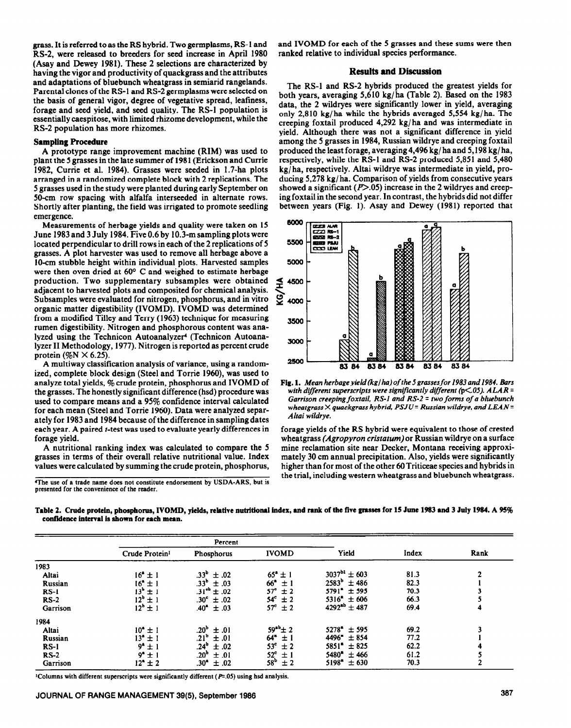grass. It is referred to as the RS hybrid. Two germplasms, RS-1 and RS-2, were released to breeders for seed increase in April 1980 (Asay and Dewey 1981). These 2 selections are characterized by having the vigor and productivity of quackgrass and the attributes and adaptations of bluebunch wheatgrass in semiarid rangelands. Parental clones of the RS-1 and RS-2 germplasms were selected on the basis of general vigor, degree of vegetative spread, leafiness, forage and seed yield, and seed quality. The RS-1 population is essentially caespitose, with limited rhizome development, while the RS-2 population has more rhizomes.

#### **Sampling Procedure**

A prototype range improvement machine (RIM) was used to plant the 5 grasses in the late summer of 1981 (Erickson and Currie 1982, Currie et al. 1984). Grasses were seeded in 1.7-ha plots arranged in a randomized complete block with 2 replications. The 5 grasses used in the study were planted during early September on 50-cm row spacing with alfalfa interseeded in alternate rows. Shortly after planting, the field was irrigated to promote seedling emergence.

Measurements of herbage yields and quality were taken on 15 June 1983 and 3 July 1984. Five 0.6 by 10.3-m sampling plots were located perpendicular to drill rows in each of the 2 replications of 5 grasses. A plot harvester was used to remove all herbage above a IO-cm stubble height within individual plots. Harvested samples were then oven dried at 60° C and weighed to estimate herbage production. Two supplementary subsamples were obtained adjacent to harvested plots and cornposited for chemical analysis. Subsamples were evaluated for nitrogen, phosphorus, and in vitro organic matter digestibility (IVOMD). IVOMD was determined from a modified Tilley and Terry (1963) technique for measuring rumen digestibility. Nitrogen and phosphorous content was analyzed using the Technicon Autoanalyzer' (Technicon Autoanalyzer II Methodology, 1977). Nitrogen is reported as percent crude protein  $(\%N \times 6.25)$ .

A multiway classification analysis of variance, using a randomized, complete block design (Steel and Torrie 1960), was used to analyze total yields,  $\%$  crude protein, phosphorus and IVOMD of the grasses. The honestly significant difference (hsd) procedure was used to compare means and a 95% confidence interval calculated for each mean (Steel and Torrie 1960). Data were analyzed separately for 1983 and 1984 because of the difference in **sampling dates**  each year. A paired *t*-test was used to evaluate yearly differences in forage yield.

A nutritional ranking index was calculated to compare the 5 grasses in terms of their overall relative nutritional value. Index values were calculated by summing the crude protein, phosphorus,

<sup>4</sup>The use of a trade name does not constitute endorsement by USDA-ARS, but is **presented for the convenience of the reader.** 

and IVOMD for each of the 5 grasses and these sums were then ranked relative to individual species performance.

#### **Results and Discussion**

The RS-1 and RS-2 hybrids produced the greatest yields for both years, averaging 5,610 kg/ha (Table 2). Based on the 1983 data, the 2 wildryes were significantly lower in yield, averaging only 2,810 kg/ha while the hybrids averaged 5,554 kg/ha. The creeping foxtail produced 4,292 kg/ ha and was intermediate in yield. Although there was not a significant difference in yield among the 5 grasses in 1984, Russian wildrye and creeping foxtail produced the least forage, averaging 4,496 kg/ ha and 5,198 kg/ ha, respectively, while the RS-1 and RS-2 produced 5,851 and 5,480 kg/ ha, respectively. Altai wildrye was intermediate in yield, producing 5,278 kg/ ha. Comparison of yields from consecutive years showed a significant  $(P>0.05)$  increase in the 2 wildryes and creeping foxtail in the second year. In contrast, the hybrids did not differ between years (Fig. 1). Asay and Dewey (1981) reported that



*Fig.* **1.** *Mean herbageyield(kg/ha)of the5grassesfor 1983and1984. Bars*  with different superscripts were significantly different (p<.05). ALAR = *Garrison creeping foxtail, RS-1 and RS-2 = two forms of a bluebunch wheatgrass X quackgrass hybrid, PSJU= Russian wildrye, and LEAN = Altai wildrye.* 

forage yields of the RS hybrid were equivalent to those of crested wheatgrass *(Agropyron cristatum)* or Russian wildrye on a surface mine reclamation site near Decker, Montana receiving approximately 30 cm annual precipitation. Also, yields were significantly higher than for most of the other 6OTriticeae species and hybrids in the trial, including western wheatgrass and bluebunch wheatgrass.

|                                             | Table 2. Crude protein, phosphorus, IVOMD, yields, relative nutritional index, and rank of the five grasses for 15 June 1983 and 3 July 1984. A 95% |  |
|---------------------------------------------|-----------------------------------------------------------------------------------------------------------------------------------------------------|--|
| confidence interval is shown for each mean. |                                                                                                                                                     |  |

|          | Percent                    |                          |                         |                         |       |                |
|----------|----------------------------|--------------------------|-------------------------|-------------------------|-------|----------------|
|          | Crude Protein <sup>1</sup> | Phosphorus               | <b>IVOMD</b>            | Yield                   | Index | Rank           |
| 1983     |                            |                          |                         |                         |       |                |
| Altai    | $16'' + 1$                 | $.33^{\circ} \pm .02$    | $65^{\circ} \pm 1$      | $3037^{b1} \pm 603$     | 81.3  | $\overline{2}$ |
| Russian  | $16^{\circ}$ ± 1           | $.33^{\circ} \pm .03$    | $66^{\circ} \pm 1$      | $2583^{\circ} \pm 486$  | 82.3  |                |
| $RS-1$   | $13^{b} \pm 1$             | $.31^{\circ}$ ± .02      | $57^{\circ} \pm 2$      | $5791^{\circ} \pm 595$  | 70.3  |                |
| $RS-2$   | $12^b \pm 1$               | $.30^{\circ} \pm .02$    | $54^{\circ} \pm 2$      | $5316^4 \pm 606$        | 66.3  |                |
| Garrison | $12^b \pm 1$               | $.40^{\circ}$<br>±.03    | $57^{\circ} \pm 2$      | $4292^{ab} \pm 487$     | 69.4  | 4              |
| 1984     |                            |                          |                         |                         |       |                |
| Altai    | $10^4 \pm 1$               | .20 <sup>b</sup><br>±.01 | $59^{ab}$ $\pm$ 2       | $5278'' \pm 595$        | 69.2  |                |
| Russian  | $13^{n} \pm 1$             | $.21^{\circ}$<br>±.01    | $64^{\circ}$ ± 1        | 4496 <sup>*</sup> ± 854 | 77.2  |                |
| $RS-1$   | $9^a \pm 1$                | .24 <sup>b</sup><br>±.02 | 53 <sup>c</sup><br>±2   | $5851^{\circ}$ ± 825    | 62.2  | 4              |
| $RS-2$   | $9^*$ ± 1                  | .20 <sup>b</sup><br>±.01 | $52^{\circ}$<br>$\pm 1$ | $5480^{\circ}$<br>±466  | 61.2  |                |
| Garrison | $12^{\circ} \pm 2$         | .30*<br>±.02             | 58 <sup>b</sup><br>±2   | $5198^*$<br>± 630       | 70.3  |                |

<sup>1</sup>Columns with different superscripts were significantly different ( $P=0.05$ ) using hsd analysis.

# **JOURNAL OF RANGE MANAGEMENT 39(S), September 1988 387**